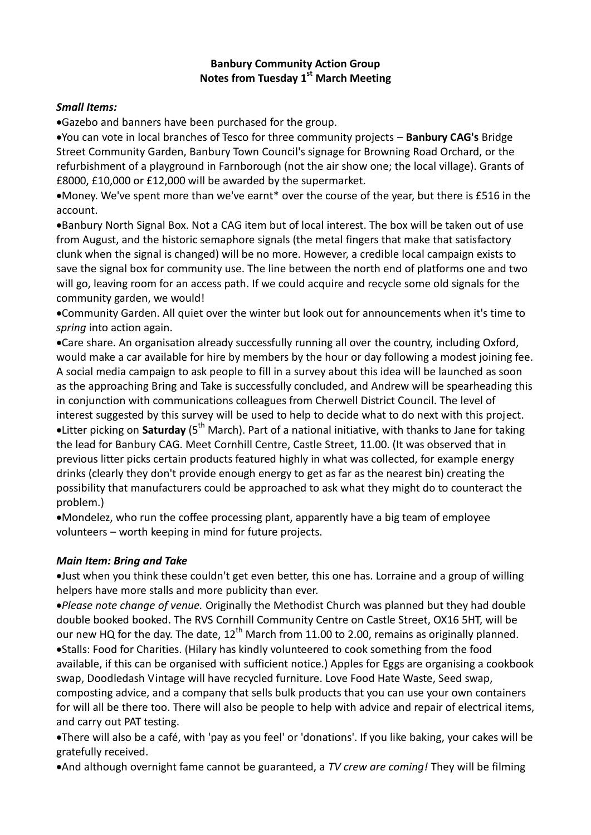## **Banbury Community Action Group Notes from Tuesday 1st March Meeting**

## *Small Items:*

Gazebo and banners have been purchased for the group.

You can vote in local branches of Tesco for three community projects – **Banbury CAG's** Bridge Street Community Garden, Banbury Town Council's signage for Browning Road Orchard, or the refurbishment of a playground in Farnborough (not the air show one; the local village). Grants of £8000, £10,000 or £12,000 will be awarded by the supermarket.

Money. We've spent more than we've earnt\* over the course of the year, but there is £516 in the account.

Banbury North Signal Box. Not a CAG item but of local interest. The box will be taken out of use from August, and the historic semaphore signals (the metal fingers that make that satisfactory clunk when the signal is changed) will be no more. However, a credible local campaign exists to save the signal box for community use. The line between the north end of platforms one and two will go, leaving room for an access path. If we could acquire and recycle some old signals for the community garden, we would!

Community Garden. All quiet over the winter but look out for announcements when it's time to *spring* into action again.

Care share. An organisation already successfully running all over the country, including Oxford, would make a car available for hire by members by the hour or day following a modest joining fee. A social media campaign to ask people to fill in a survey about this idea will be launched as soon as the approaching Bring and Take is successfully concluded, and Andrew will be spearheading this in conjunction with communications colleagues from Cherwell District Council. The level of interest suggested by this survey will be used to help to decide what to do next with this project. •Litter picking on **Saturday** (5<sup>th</sup> March). Part of a national initiative, with thanks to Jane for taking the lead for Banbury CAG. Meet Cornhill Centre, Castle Street, 11.00. (It was observed that in previous litter picks certain products featured highly in what was collected, for example energy drinks (clearly they don't provide enough energy to get as far as the nearest bin) creating the possibility that manufacturers could be approached to ask what they might do to counteract the problem.)

Mondelez, who run the coffee processing plant, apparently have a big team of employee volunteers – worth keeping in mind for future projects.

## *Main Item: Bring and Take*

Just when you think these couldn't get even better, this one has. Lorraine and a group of willing helpers have more stalls and more publicity than ever.

*Please note change of venue.* Originally the Methodist Church was planned but they had double double booked booked. The RVS Cornhill Community Centre on Castle Street, OX16 5HT, will be our new HQ for the day. The date,  $12<sup>th</sup>$  March from 11.00 to 2.00, remains as originally planned. Stalls: Food for Charities. (Hilary has kindly volunteered to cook something from the food available, if this can be organised with sufficient notice.) Apples for Eggs are organising a cookbook swap, Doodledash Vintage will have recycled furniture. Love Food Hate Waste, Seed swap, composting advice, and a company that sells bulk products that you can use your own containers for will all be there too. There will also be people to help with advice and repair of electrical items, and carry out PAT testing.

There will also be a café, with 'pay as you feel' or 'donations'. If you like baking, your cakes will be gratefully received.

And although overnight fame cannot be guaranteed, a *TV crew are coming!* They will be filming